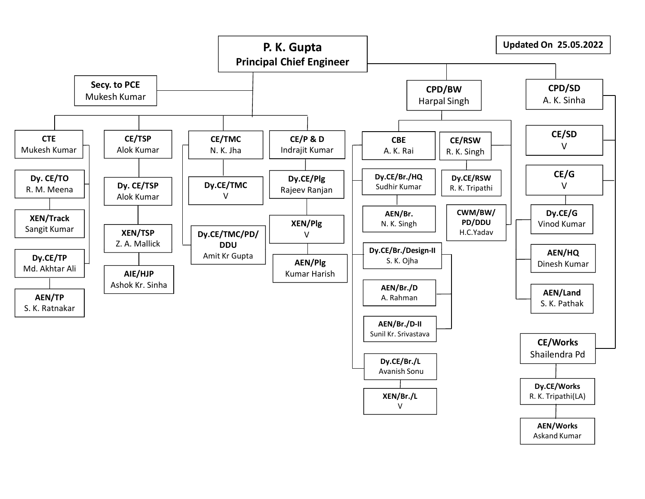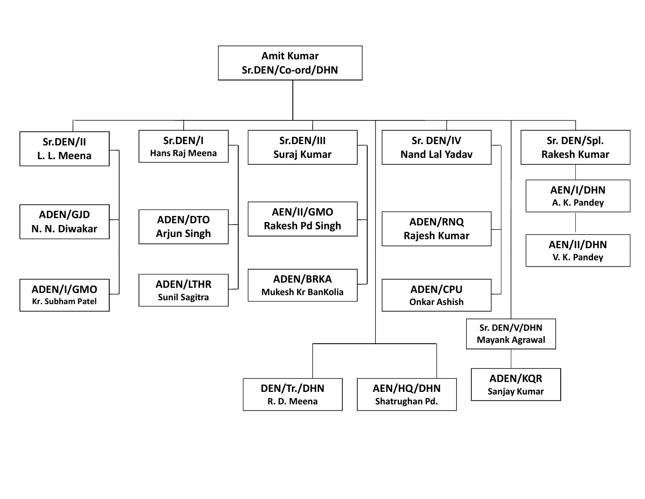![](_page_1_Figure_0.jpeg)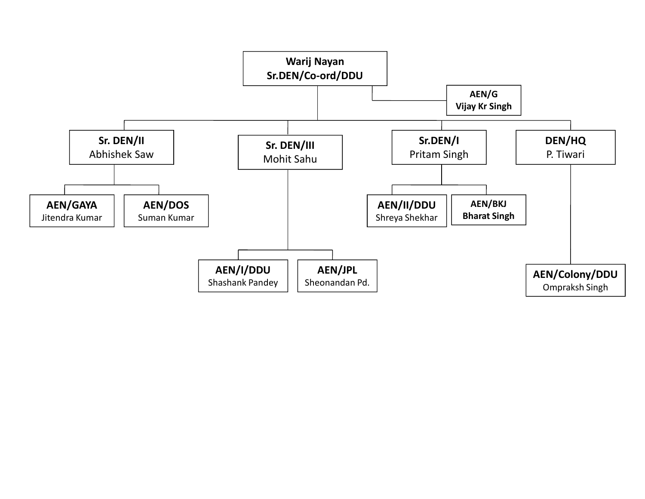![](_page_2_Figure_0.jpeg)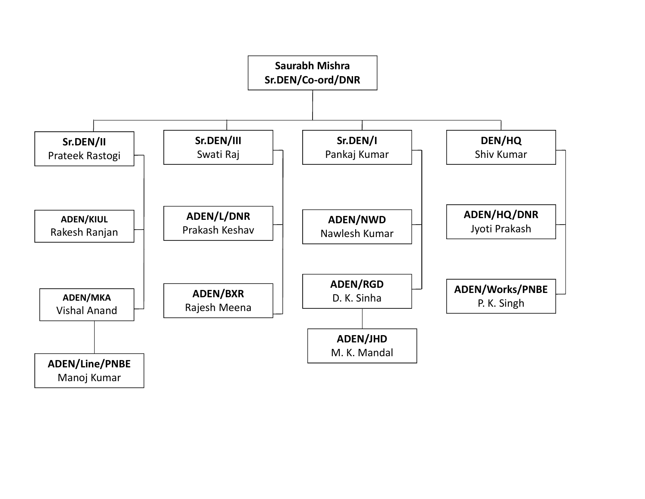![](_page_3_Figure_0.jpeg)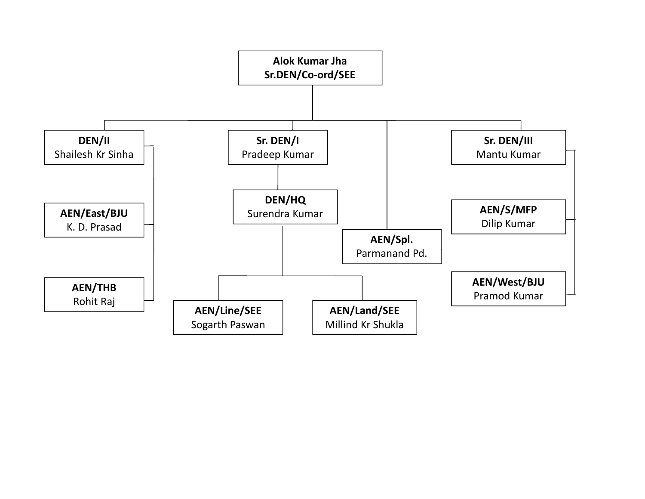![](_page_4_Figure_0.jpeg)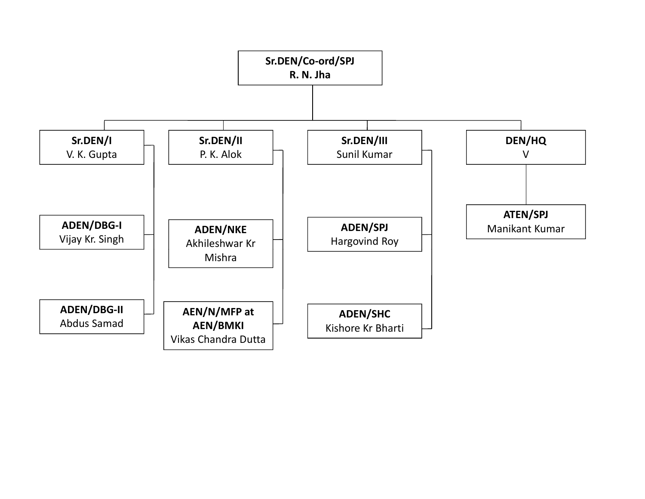![](_page_5_Figure_0.jpeg)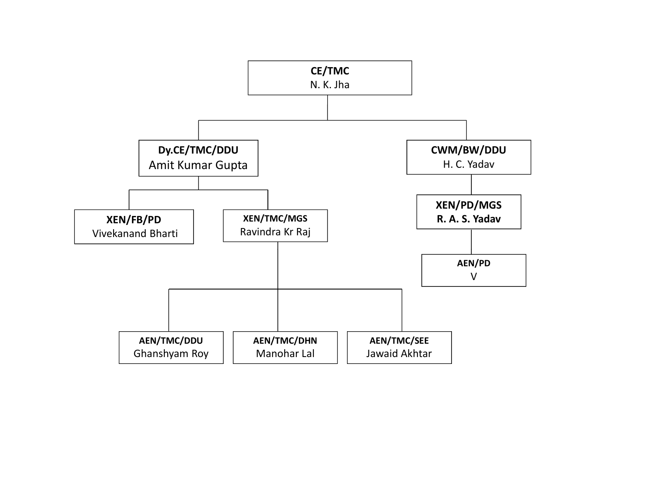![](_page_6_Figure_0.jpeg)